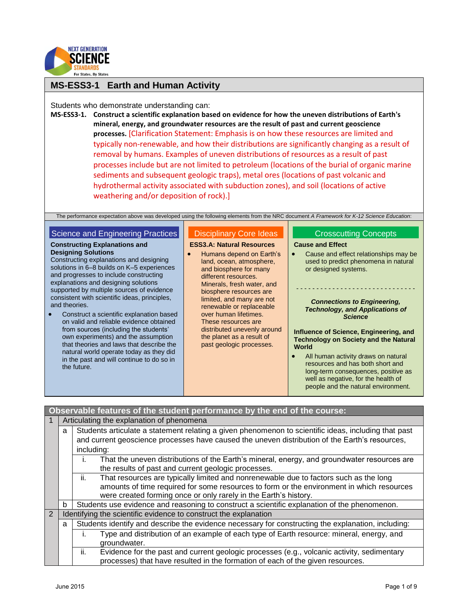

## **MS-ESS3-1 Earth and Human Activity**

Students who demonstrate understanding can:

**MS-ESS3-1. Construct a scientific explanation based on evidence for how the uneven distributions of Earth's mineral, energy, and groundwater resources are the result of past and current geoscience processes.** [Clarification Statement: Emphasis is on how these resources are limited and typically non-renewable, and how their distributions are significantly changing as a result of removal by humans. Examples of uneven distributions of resources as a result of past processes include but are not limited to petroleum (locations of the burial of organic marine sediments and subsequent geologic traps), metal ores (locations of past volcanic and hydrothermal activity associated with subduction zones), and soil (locations of active weathering and/or deposition of rock).]

The performance expectation above was developed using the following elements from the NRC document *A Framework for K-12 Science Education*:

Disciplinary Core Ideas

### Science and Engineering Practices

#### **Constructing Explanations and ESS3.A: Natural Resources**

**Designing Solutions** Constructing explanations and designing solutions in 6–8 builds on K–5 experiences and progresses to include constructing explanations and designing solutions supported by multiple sources of evidence consistent with scientific ideas, principles, and theories.

• Construct a scientific explanation based on valid and reliable evidence obtained from sources (including the students' own experiments) and the assumption that theories and laws that describe the natural world operate today as they did in the past and will continue to do so in the future.

### Humans depend on Earth's land, ocean, atmosphere, and biosphere for many different resources. Minerals, fresh water, and biosphere resources are limited, and many are not renewable or replaceable over human lifetimes. These resources are distributed unevenly around

the planet as a result of past geologic processes.

### Crosscutting Concepts

### **Cause and Effect**

 Cause and effect relationships may be used to predict phenomena in natural or designed systems.

### *Connections to Engineering, Technology, and Applications of Science*

- - - - - - - - - - - - - - - - - - - - - - - - - - - - - -

**Influence of Science, Engineering, and Technology on Society and the Natural World**

 All human activity draws on natural resources and has both short and long-term consequences, positive as well as negative, for the health of people and the natural environment.

### **Observable features of the student performance by the end of the course:** Articulating the explanation of phenomena  $a \mid$  Students articulate a statement relating a given phenomenon to scientific ideas, including that past and current geoscience processes have caused the uneven distribution of the Earth's resources, including: i. That the uneven distributions of the Earth's mineral, energy, and groundwater resources are the results of past and current geologic processes. ii. That resources are typically limited and nonrenewable due to factors such as the long amounts of time required for some resources to form or the environment in which resources were created forming once or only rarely in the Earth's history. Students use evidence and reasoning to construct a scientific explanation of the phenomenon. 2 | Identifying the scientific evidence to construct the explanation a | Students identify and describe the evidence necessary for constructing the explanation, including: i. Type and distribution of an example of each type of Earth resource: mineral, energy, and groundwater. ii. Evidence for the past and current geologic processes (e.g., volcanic activity, sedimentary processes) that have resulted in the formation of each of the given resources.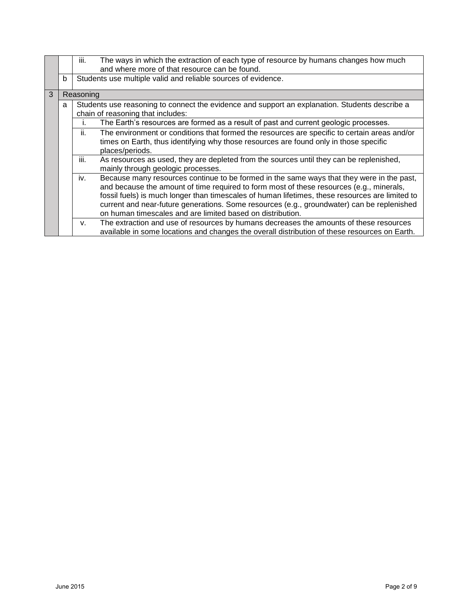|                                        |   | iii.<br>The ways in which the extraction of each type of resource by humans changes how much<br>and where more of that resource can be found.                                                                                                                                                                                                                                                                                                               |  |  |
|----------------------------------------|---|-------------------------------------------------------------------------------------------------------------------------------------------------------------------------------------------------------------------------------------------------------------------------------------------------------------------------------------------------------------------------------------------------------------------------------------------------------------|--|--|
|                                        | b | Students use multiple valid and reliable sources of evidence.                                                                                                                                                                                                                                                                                                                                                                                               |  |  |
| 3                                      |   | Reasoning                                                                                                                                                                                                                                                                                                                                                                                                                                                   |  |  |
| a<br>chain of reasoning that includes: |   | Students use reasoning to connect the evidence and support an explanation. Students describe a                                                                                                                                                                                                                                                                                                                                                              |  |  |
|                                        |   | The Earth's resources are formed as a result of past and current geologic processes.                                                                                                                                                                                                                                                                                                                                                                        |  |  |
|                                        |   | ii.<br>The environment or conditions that formed the resources are specific to certain areas and/or<br>times on Earth, thus identifying why those resources are found only in those specific<br>places/periods.                                                                                                                                                                                                                                             |  |  |
|                                        |   | iii.<br>As resources as used, they are depleted from the sources until they can be replenished,<br>mainly through geologic processes.                                                                                                                                                                                                                                                                                                                       |  |  |
|                                        |   | iv.<br>Because many resources continue to be formed in the same ways that they were in the past,<br>and because the amount of time required to form most of these resources (e.g., minerals,<br>fossil fuels) is much longer than timescales of human lifetimes, these resources are limited to<br>current and near-future generations. Some resources (e.g., groundwater) can be replenished<br>on human timescales and are limited based on distribution. |  |  |
|                                        |   | The extraction and use of resources by humans decreases the amounts of these resources<br>ν.<br>available in some locations and changes the overall distribution of these resources on Earth.                                                                                                                                                                                                                                                               |  |  |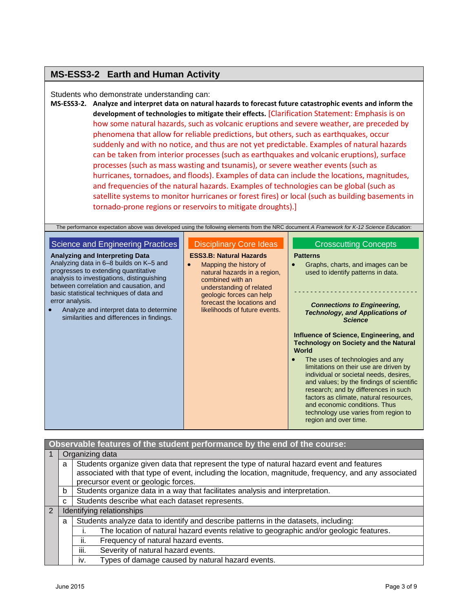## **MS-ESS3-2 Earth and Human Activity**

Students who demonstrate understanding can:

**MS-ESS3-2. Analyze and interpret data on natural hazards to forecast future catastrophic events and inform the development of technologies to mitigate their effects.** [Clarification Statement: Emphasis is on how some natural hazards, such as volcanic eruptions and severe weather, are preceded by phenomena that allow for reliable predictions, but others, such as earthquakes, occur suddenly and with no notice, and thus are not yet predictable. Examples of natural hazards can be taken from interior processes (such as earthquakes and volcanic eruptions), surface processes (such as mass wasting and tsunamis), or severe weather events (such as hurricanes, tornadoes, and floods). Examples of data can include the locations, magnitudes, and frequencies of the natural hazards. Examples of technologies can be global (such as satellite systems to monitor hurricanes or forest fires) or local (such as building basements in tornado-prone regions or reservoirs to mitigate droughts).]

| The performance expectation above was developed using the following elements from the NRC document A Framework for K-12 Science Education:                                                                                                                                                                                                                                                                    |                                                                                                                                                                                                                                                                       |                                                                                                                                                                                                                                                                                                                                                                                                                                                                                                                                                                                                                                                                                          |
|---------------------------------------------------------------------------------------------------------------------------------------------------------------------------------------------------------------------------------------------------------------------------------------------------------------------------------------------------------------------------------------------------------------|-----------------------------------------------------------------------------------------------------------------------------------------------------------------------------------------------------------------------------------------------------------------------|------------------------------------------------------------------------------------------------------------------------------------------------------------------------------------------------------------------------------------------------------------------------------------------------------------------------------------------------------------------------------------------------------------------------------------------------------------------------------------------------------------------------------------------------------------------------------------------------------------------------------------------------------------------------------------------|
| Science and Engineering Practices<br><b>Analyzing and Interpreting Data</b><br>Analyzing data in 6-8 builds on K-5 and<br>progresses to extending quantitative<br>analysis to investigations, distinguishing<br>between correlation and causation, and<br>basic statistical techniques of data and<br>error analysis.<br>Analyze and interpret data to determine<br>similarities and differences in findings. | <b>Disciplinary Core Ideas</b><br><b>ESS3.B: Natural Hazards</b><br>Mapping the history of<br>natural hazards in a region,<br>combined with an<br>understanding of related<br>geologic forces can help<br>forecast the locations and<br>likelihoods of future events. | <b>Crosscutting Concepts</b><br><b>Patterns</b><br>Graphs, charts, and images can be<br>used to identify patterns in data.<br><b>Connections to Engineering,</b><br><b>Technology, and Applications of</b><br><b>Science</b><br>Influence of Science, Engineering, and<br><b>Technology on Society and the Natural</b><br>World<br>The uses of technologies and any<br>limitations on their use are driven by<br>individual or societal needs, desires,<br>and values; by the findings of scientific<br>research; and by differences in such<br>factors as climate, natural resources,<br>and economic conditions. Thus<br>technology use varies from region to<br>region and over time. |

|                                                                                          | Observable features of the student performance by the end of the course:                                                                                                                               |                                                                                        |  |  |
|------------------------------------------------------------------------------------------|--------------------------------------------------------------------------------------------------------------------------------------------------------------------------------------------------------|----------------------------------------------------------------------------------------|--|--|
|                                                                                          |                                                                                                                                                                                                        | Organizing data                                                                        |  |  |
|                                                                                          | Students organize given data that represent the type of natural hazard event and features<br>a<br>associated with that type of event, including the location, magnitude, frequency, and any associated |                                                                                        |  |  |
|                                                                                          | precursor event or geologic forces.                                                                                                                                                                    |                                                                                        |  |  |
|                                                                                          | Students organize data in a way that facilitates analysis and interpretation.<br>b                                                                                                                     |                                                                                        |  |  |
|                                                                                          | C                                                                                                                                                                                                      | Students describe what each dataset represents.                                        |  |  |
| 2                                                                                        |                                                                                                                                                                                                        | Identifying relationships                                                              |  |  |
| Students analyze data to identify and describe patterns in the datasets, including:<br>a |                                                                                                                                                                                                        |                                                                                        |  |  |
|                                                                                          |                                                                                                                                                                                                        | The location of natural hazard events relative to geographic and/or geologic features. |  |  |
|                                                                                          |                                                                                                                                                                                                        | ii.<br>Frequency of natural hazard events.                                             |  |  |
|                                                                                          |                                                                                                                                                                                                        | iii.<br>Severity of natural hazard events.                                             |  |  |
|                                                                                          |                                                                                                                                                                                                        | Types of damage caused by natural hazard events.<br>İV.                                |  |  |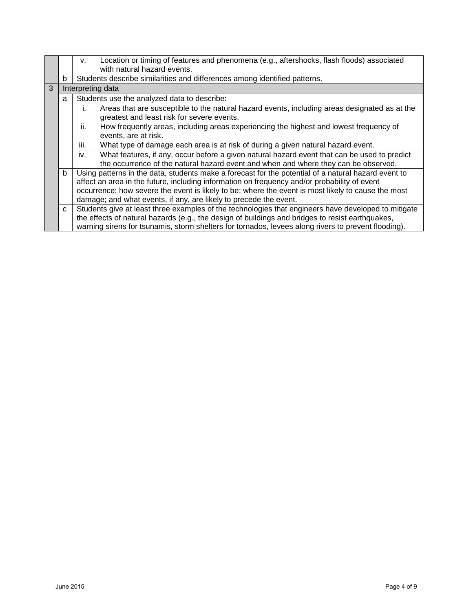|                                                                        |                                                  | Location or timing of features and phenomena (e.g., aftershocks, flash floods) associated<br>v.<br>with natural hazard events.                                                                                                                                                                                 |  |  |
|------------------------------------------------------------------------|--------------------------------------------------|----------------------------------------------------------------------------------------------------------------------------------------------------------------------------------------------------------------------------------------------------------------------------------------------------------------|--|--|
|                                                                        | b                                                | Students describe similarities and differences among identified patterns.                                                                                                                                                                                                                                      |  |  |
| 3                                                                      |                                                  | Interpreting data                                                                                                                                                                                                                                                                                              |  |  |
|                                                                        | Students use the analyzed data to describe:<br>a |                                                                                                                                                                                                                                                                                                                |  |  |
|                                                                        |                                                  | Areas that are susceptible to the natural hazard events, including areas designated as at the<br>greatest and least risk for severe events.                                                                                                                                                                    |  |  |
|                                                                        |                                                  | How frequently areas, including areas experiencing the highest and lowest frequency of<br>ii.<br>events, are at risk.                                                                                                                                                                                          |  |  |
|                                                                        |                                                  | iii.<br>What type of damage each area is at risk of during a given natural hazard event.                                                                                                                                                                                                                       |  |  |
|                                                                        |                                                  | What features, if any, occur before a given natural hazard event that can be used to predict<br>iv.<br>the occurrence of the natural hazard event and when and where they can be observed.                                                                                                                     |  |  |
| b<br>damage; and what events, if any, are likely to precede the event. |                                                  | Using patterns in the data, students make a forecast for the potential of a natural hazard event to<br>affect an area in the future, including information on frequency and/or probability of event<br>occurrence; how severe the event is likely to be; where the event is most likely to cause the most      |  |  |
|                                                                        | C                                                | Students give at least three examples of the technologies that engineers have developed to mitigate<br>the effects of natural hazards (e.g., the design of buildings and bridges to resist earthquakes,<br>warning sirens for tsunamis, storm shelters for tornados, levees along rivers to prevent flooding). |  |  |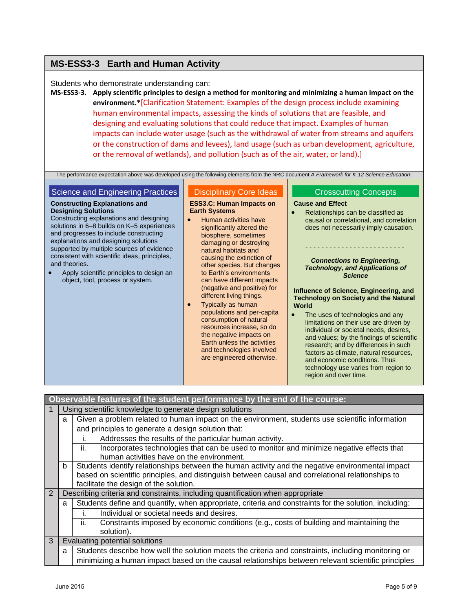## **MS-ESS3-3 Earth and Human Activity**

### Students who demonstrate understanding can:

**MS-ESS3-3. Apply scientific principles to design a method for monitoring and minimizing a human impact on the environment.\***[Clarification Statement: Examples of the design process include examining human environmental impacts, assessing the kinds of solutions that are feasible, and designing and evaluating solutions that could reduce that impact. Examples of human impacts can include water usage (such as the withdrawal of water from streams and aquifers or the construction of dams and levees), land usage (such as urban development, agriculture, or the removal of wetlands), and pollution (such as of the air, water, or land).]

The performance expectation above was developed using the following elements from the NRC document *A Framework for K-12 Science Education*:

### Science and Engineering Practices

### **Constructing Explanations and Designing Solutions**

Constructing explanations and designing solutions in 6–8 builds on K–5 experiences and progresses to include constructing explanations and designing solutions supported by multiple sources of evidence consistent with scientific ideas, principles, and theories.

 Apply scientific principles to design an object, tool, process or system.

# Disciplinary Core Ideas

### **ESS3.C: Human Impacts on Earth Systems**

- Human activities have significantly altered the biosphere, sometimes damaging or destroying natural habitats and causing the extinction of other species. But changes to Earth's environments can have different impacts (negative and positive) for different living things.
- Typically as human populations and per-capita consumption of natural resources increase, so do the negative impacts on Earth unless the activities and technologies involved are engineered otherwise.

### Crosscutting Concepts

### **Cause and Effect**

• Relationships can be classified as causal or correlational, and correlation does not necessarily imply causation.

- - - - - - - - - - - - - - - - - - - - - - - - -

### *Connections to Engineering, Technology, and Applications of Science*

**Influence of Science, Engineering, and Technology on Society and the Natural World**

• The uses of technologies and any limitations on their use are driven by individual or societal needs, desires, and values; by the findings of scientific research; and by differences in such factors as climate, natural resources, and economic conditions. Thus technology use varies from region to region and over time.

### **Observable features of the student performance by the end of the course:**

|   | Using scientific knowledge to generate design solutions                                                    |                                                                                                     |  |  |
|---|------------------------------------------------------------------------------------------------------------|-----------------------------------------------------------------------------------------------------|--|--|
|   | a                                                                                                          | Given a problem related to human impact on the environment, students use scientific information     |  |  |
|   |                                                                                                            | and principles to generate a design solution that:                                                  |  |  |
|   |                                                                                                            | Addresses the results of the particular human activity.                                             |  |  |
|   |                                                                                                            | Incorporates technologies that can be used to monitor and minimize negative effects that<br>ii.     |  |  |
|   | human activities have on the environment.                                                                  |                                                                                                     |  |  |
|   | b                                                                                                          | Students identify relationships between the human activity and the negative environmental impact    |  |  |
|   |                                                                                                            | based on scientific principles, and distinguish between causal and correlational relationships to   |  |  |
|   |                                                                                                            | facilitate the design of the solution.                                                              |  |  |
| 2 |                                                                                                            | Describing criteria and constraints, including quantification when appropriate                      |  |  |
|   | Students define and quantify, when appropriate, criteria and constraints for the solution, including:<br>a |                                                                                                     |  |  |
|   |                                                                                                            | Individual or societal needs and desires.                                                           |  |  |
|   |                                                                                                            | ii.<br>Constraints imposed by economic conditions (e.g., costs of building and maintaining the      |  |  |
|   |                                                                                                            | solution).                                                                                          |  |  |
| 3 |                                                                                                            | Evaluating potential solutions                                                                      |  |  |
| a |                                                                                                            | Students describe how well the solution meets the criteria and constraints, including monitoring or |  |  |
|   |                                                                                                            | minimizing a human impact based on the causal relationships between relevant scientific principles  |  |  |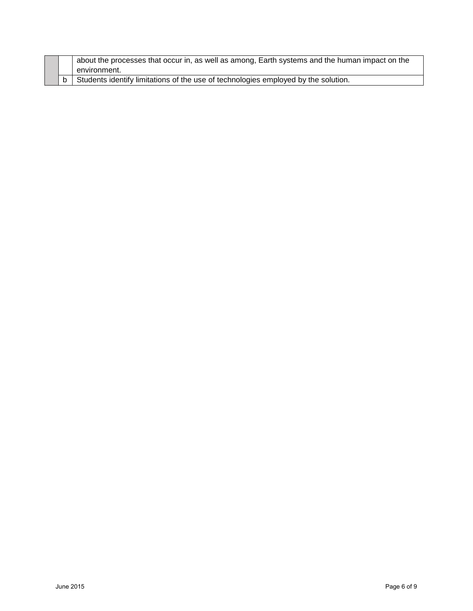|  | about the processes that occur in, as well as among, Earth systems and the human impact on the<br>environment. |  |  |  |
|--|----------------------------------------------------------------------------------------------------------------|--|--|--|
|  | Students identify limitations of the use of technologies employed by the solution.                             |  |  |  |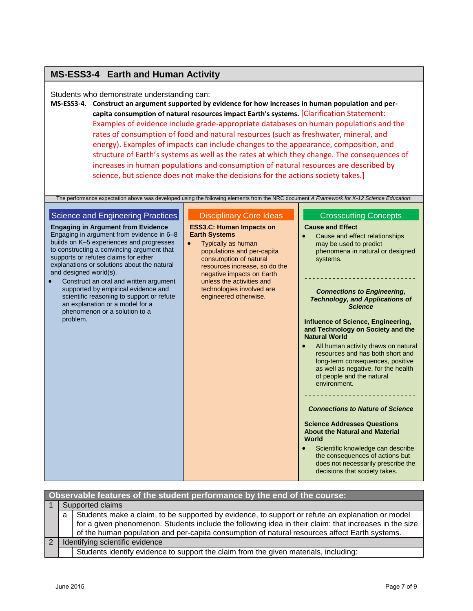## **MS-ESS3-4 Earth and Human Activity**

Students who demonstrate understanding can:

**MS-ESS3-4. Construct an argument supported by evidence for how increases in human population and percapita consumption of natural resources impact Earth's systems.** [Clarification Statement: Examples of evidence include grade-appropriate databases on human populations and the rates of consumption of food and natural resources (such as freshwater, mineral, and energy). Examples of impacts can include changes to the appearance, composition, and structure of Earth's systems as well as the rates at which they change. The consequences of increases in human populations and consumption of natural resources are described by science, but science does not make the decisions for the actions society takes.]

The performance expectation above was developed using the following elements from the NRC document *A Framework for K-12 Science Education*:

#### Science and Engineering Practices **Engaging in Argument from Evidence** Engaging in argument from evidence in 6–8 builds on K–5 experiences and progresses to constructing a convincing argument that supports or refutes claims for either explanations or solutions about the natural and designed world(s). Construct an oral and written argument supported by empirical evidence and scientific reasoning to support or refute an explanation or a model for a phenomenon or a solution to a problem. Disciplinary Core Ideas **ESS3.C: Human Impacts on Earth Systems** Typically as human populations and per-capita consumption of natural resources increase, so do the negative impacts on Earth unless the activities and technologies involved are engineered otherwise. Crosscutting Concepts **Cause and Effect** Cause and effect relationships may be used to predict phenomena in natural or designed systems. - - - - - - - - - - - - - - - - - - - - - - - - - - - - *Connections to Engineering, Technology, and Applications of Science* **Influence of Science, Engineering, and Technology on Society and the Natural World** All human activity draws on natural resources and has both short and long-term consequences, positive as well as negative, for the health of people and the natural environment. - - - - - - - - - - - - - - - - - - - - - - - - - - - - *Connections to Nature of Science* **Science Addresses Questions About the Natural and Material World** Scientific knowledge can describe the consequences of actions but does not necessarily prescribe the decisions that society takes.

|               | Observable features of the student performance by the end of the course: |                                                                                                        |  |  |
|---------------|--------------------------------------------------------------------------|--------------------------------------------------------------------------------------------------------|--|--|
|               | Supported claims                                                         |                                                                                                        |  |  |
|               | a l                                                                      | Students make a claim, to be supported by evidence, to support or refute an explanation or model       |  |  |
|               |                                                                          | for a given phenomenon. Students include the following idea in their claim: that increases in the size |  |  |
|               |                                                                          | of the human population and per-capita consumption of natural resources affect Earth systems.          |  |  |
| $\mathcal{P}$ | Identifying scientific evidence                                          |                                                                                                        |  |  |
|               |                                                                          | Students identify evidence to support the claim from the given materials, including:                   |  |  |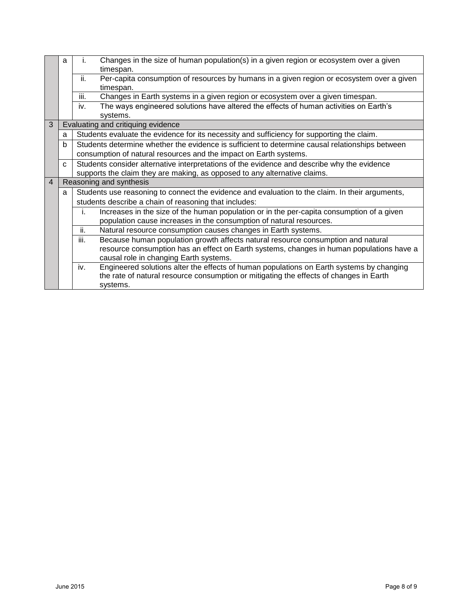|                | a            | Τ.                                                                                              | Changes in the size of human population(s) in a given region or ecosystem over a given          |  |
|----------------|--------------|-------------------------------------------------------------------------------------------------|-------------------------------------------------------------------------------------------------|--|
|                |              |                                                                                                 | timespan.                                                                                       |  |
|                |              | ii.                                                                                             | Per-capita consumption of resources by humans in a given region or ecosystem over a given       |  |
|                |              |                                                                                                 | timespan.                                                                                       |  |
|                |              | iii.                                                                                            | Changes in Earth systems in a given region or ecosystem over a given timespan.                  |  |
|                |              | iv.                                                                                             | The ways engineered solutions have altered the effects of human activities on Earth's           |  |
|                |              |                                                                                                 | systems.                                                                                        |  |
| 3              |              |                                                                                                 | Evaluating and critiquing evidence                                                              |  |
|                | a            |                                                                                                 | Students evaluate the evidence for its necessity and sufficiency for supporting the claim.      |  |
|                | b            |                                                                                                 | Students determine whether the evidence is sufficient to determine causal relationships between |  |
|                |              |                                                                                                 | consumption of natural resources and the impact on Earth systems.                               |  |
|                | $\mathbf{C}$ |                                                                                                 | Students consider alternative interpretations of the evidence and describe why the evidence     |  |
|                |              |                                                                                                 | supports the claim they are making, as opposed to any alternative claims.                       |  |
| $\overline{4}$ |              | Reasoning and synthesis                                                                         |                                                                                                 |  |
|                | a            | Students use reasoning to connect the evidence and evaluation to the claim. In their arguments, |                                                                                                 |  |
|                |              | students describe a chain of reasoning that includes:                                           |                                                                                                 |  |
|                |              | i.                                                                                              | Increases in the size of the human population or in the per-capita consumption of a given       |  |
|                |              |                                                                                                 | population cause increases in the consumption of natural resources.                             |  |
|                |              | ii.                                                                                             | Natural resource consumption causes changes in Earth systems.                                   |  |
|                |              | iii.                                                                                            | Because human population growth affects natural resource consumption and natural                |  |
|                |              |                                                                                                 | resource consumption has an effect on Earth systems, changes in human populations have a        |  |
|                |              |                                                                                                 | causal role in changing Earth systems.                                                          |  |
|                |              | iv.                                                                                             | Engineered solutions alter the effects of human populations on Earth systems by changing        |  |
|                |              |                                                                                                 | the rate of natural resource consumption or mitigating the effects of changes in Earth          |  |
|                |              |                                                                                                 | systems.                                                                                        |  |